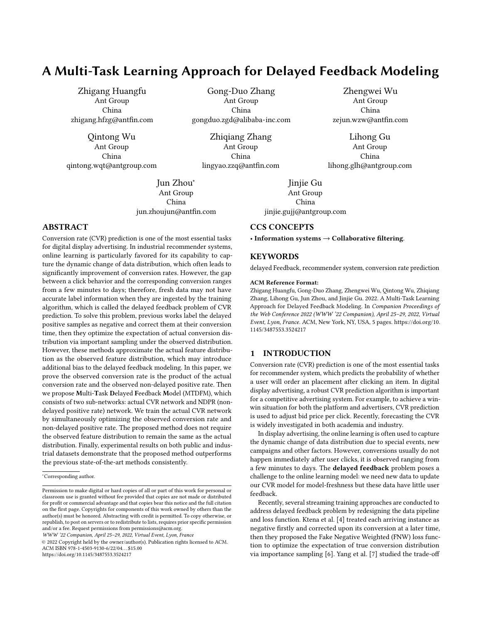# A Multi-Task Learning Approach for Delayed Feedback Modeling

Zhigang Huangfu Ant Group China zhigang.hfzg@antfin.com

Qintong Wu Ant Group China qintong.wqt@antgroup.com

> Jun Zhou<sup>∗</sup> Ant Group China jun.zhoujun@antfin.com

## ABSTRACT

Conversion rate (CVR) prediction is one of the most essential tasks for digital display advertising. In industrial recommender systems, online learning is particularly favored for its capability to capture the dynamic change of data distribution, which often leads to significantly improvement of conversion rates. However, the gap between a click behavior and the corresponding conversion ranges from a few minutes to days; therefore, fresh data may not have accurate label information when they are ingested by the training algorithm, which is called the delayed feedback problem of CVR prediction. To solve this problem, previous works label the delayed positive samples as negative and correct them at their conversion time, then they optimize the expectation of actual conversion distribution via important sampling under the observed distribution. However, these methods approximate the actual feature distribution as the observed feature distribution, which may introduce additional bias to the delayed feedback modeling. In this paper, we prove the observed conversion rate is the product of the actual conversion rate and the observed non-delayed positive rate. Then we propose Multi-Task Delayed Feedback Model (MTDFM), which consists of two sub-networks: actual CVR network and NDPR (nondelayed positive rate) network. We train the actual CVR network by simultaneously optimizing the observed conversion rate and non-delayed positive rate. The proposed method does not require the observed feature distribution to remain the same as the actual distribution. Finally, experimental results on both public and industrial datasets demonstrate that the proposed method outperforms the previous state-of-the-art methods consistently.

WWW '22 Companion, April 25–29, 2022, Virtual Event, Lyon, France

© 2022 Copyright held by the owner/author(s). Publication rights licensed to ACM. ACM ISBN 978-1-4503-9130-6/22/04. . . \$15.00 <https://doi.org/10.1145/3487553.3524217>

Gong-Duo Zhang Ant Group China gongduo.zgd@alibaba-inc.com

Zhiqiang Zhang Ant Group China lingyao.zzq@antfin.com

> Jinjie Gu Ant Group China jinjie.gujj@antgroup.com

## CCS CONCEPTS

• Information systems  $\rightarrow$  Collaborative filtering.

### **KEYWORDS**

delayed Feedback, recommender system, conversion rate prediction

Zhengwei Wu Ant Group China zejun.wzw@antfin.com

Lihong Gu Ant Group China lihong.glh@antgroup.com

#### ACM Reference Format:

Zhigang Huangfu, Gong-Duo Zhang, Zhengwei Wu, Qintong Wu, Zhiqiang Zhang, Lihong Gu, Jun Zhou, and Jinjie Gu. 2022. A Multi-Task Learning Approach for Delayed Feedback Modeling. In Companion Proceedings of the Web Conference 2022 (WWW '22 Companion), April 25–29, 2022, Virtual Event, Lyon, France. ACM, New York, NY, USA, [5](#page-4-0) pages. [https://doi.org/10.](https://doi.org/10.1145/3487553.3524217) [1145/3487553.3524217](https://doi.org/10.1145/3487553.3524217)

#### 1 INTRODUCTION

Conversion rate (CVR) prediction is one of the most essential tasks for recommender system, which predicts the probability of whether a user will order an placement after clicking an item. In digital display advertising, a robust CVR prediction algorithm is important for a competitive advertising system. For example, to achieve a winwin situation for both the platform and advertisers, CVR prediction is used to adjust bid price per click. Recently, forecasting the CVR is widely investigated in both academia and industry.

In display advertising, the online learning is often used to capture the dynamic change of data distribution due to special events, new campaigns and other factors. However, conversions usually do not happen immediately after user clicks, it is observed ranging from a few minutes to days. The delayed feedback problem poses a challenge to the online learning model: we need new data to update our CVR model for model-freshness but these data have little user feedback.

Recently, several streaming training approaches are conducted to address delayed feedback problem by redesigning the data pipeline and loss function. Ktena et al. [\[4\]](#page-4-1) treated each arriving instance as negative firstly and corrected upon its conversion at a later time, then they proposed the Fake Negative Weighted (FNW) loss function to optimize the expectation of true conversion distribution via importance sampling [\[6\]](#page-4-2). Yang et al. [\[7\]](#page-4-3) studied the trade-off

<sup>∗</sup>Corresponding author.

Permission to make digital or hard copies of all or part of this work for personal or classroom use is granted without fee provided that copies are not made or distributed for profit or commercial advantage and that copies bear this notice and the full citation on the first page. Copyrights for components of this work owned by others than the author(s) must be honored. Abstracting with credit is permitted. To copy otherwise, or republish, to post on servers or to redistribute to lists, requires prior specific permission and/or a fee. Request permissions from permissions@acm.org.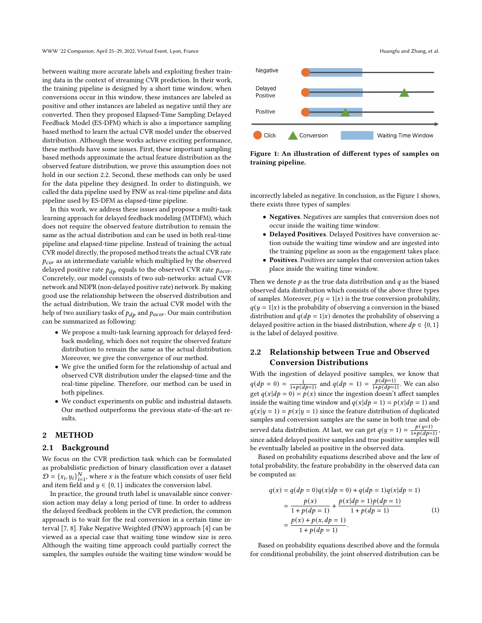between waiting more accurate labels and exploiting fresher training data in the context of streaming CVR prediction. In their work, the training pipeline is designed by a short time window, when conversions occur in this window, these instances are labeled as positive and other instances are labeled as negative until they are converted. Then they proposed Elapsed-Time Sampling Delayed Feedback Model (ES-DFM) which is also a importance sampling based method to learn the actual CVR model under the observed distribution. Although these works achieve exciting performance, these methods have some issues. First, these important sampling based methods approximate the actual feature distribution as the observed feature distribution, we prove this assumption does not hold in our section 2.2. Second, these methods can only be used for the data pipeline they designed. In order to distinguish, we called the data pipeline used by FNW as real-time pipeline and data pipeline used by ES-DFM as elapsed-time pipeline.

In this work, we address these issues and propose a multi-task learning approach for delayed feedback modeling (MTDFM), which does not require the observed feature distribution to remain the same as the actual distribution and can be used in both real-time pipeline and elapsed-time pipeline. Instead of training the actual CVR model directly, the proposed method treats the actual CVR rate  $p_{\text{c}vr}$  as an intermediate variable which multiplied by the observed delayed positive rate  $p_{dp}$  equals to the observed CVR rate  $p_{ocor}$ . Concretely, our model consists of two sub-networks: actual CVR network and NDPR (non-delayed positive rate) network. By making good use the relationship between the observed distribution and the actual distribution, We train the actual CVR model with the help of two auxiliary tasks of  $p_{dp}$  and  $p_{ocvr}$  . Our main contribution can be summarized as following:

- We propose a multi-task learning approach for delayed feedback modeling, which does not require the observed feature distribution to remain the same as the actual distribution. Moreover, we give the convergence of our method.
- We give the unified form for the relationship of actual and observed CVR distribution under the elapsed-time and the real-time pipeline. Therefore, our method can be used in both pipelines.
- We conduct experiments on public and industrial datasets. Our method outperforms the previous state-of-the-art results.

#### 2 METHOD

#### 2.1 Background

We focus on the CVR prediction task which can be formulated as probabilistic prediction of binary classification over a dataset  $D = \{x_i, y_i\}_{i=1}^N$ , where x is the feature which consists of user field and item field and  $y \in \{0, 1\}$  indicates the conversion label.

In practice, the ground truth label is unavailable since conversion action may delay a long period of time. In order to address the delayed feedback problem in the CVR prediction, the common approach is to wait for the real conversion in a certain time interval [\[7,](#page-4-3) [8\]](#page-4-4). Fake Negative Weighted (FNW) approach [\[4\]](#page-4-1) can be viewed as a special case that waiting time window size is zero. Although the waiting time approach could partially correct the samples, the samples outside the waiting time window would be



Figure 1: An illustration of different types of samples on training pipeline.

incorrectly labeled as negative. In conclusion, as the Figure 1 shows, there exists three types of samples:

- Negatives. Negatives are samples that conversion does not occur inside the waiting time window.
- Delayed Positives. Delayed Positives have conversion action outside the waiting time window and are ingested into the training pipeline as soon as the engagement takes place.
- Positives. Positives are samples that conversion action takes place inside the waiting time window.

Then we denote  $p$  as the true data distribution and  $q$  as the biased observed data distribution which consists of the above three types of samples. Moreover,  $p(y = 1|x)$  is the true conversion probability,  $q(y = 1|x)$  is the probability of observing a conversion in the biased distribution and  $q(dp = 1|x)$  denotes the probability of observing a delayed positive action in the biased distribution, where  $dp \in \{0, 1\}$ is the label of delayed positive.

## 2.2 Relationship between True and Observed Conversion Distributions

With the ingestion of delayed positive samples, we know that  $q(dp = 0) = \frac{1}{1+p(dp=1)}$  and  $q(dp = 1) = \frac{p(\hat{d}p=1)}{1+p(dp=1)}$  $\frac{p(ap-1)}{1+p(dp-1)}$ . We can also get  $q(x|dp = 0) = p(x)$  since the ingestion doesn't affect samples inside the waiting time window and  $q(x|dp = 1) = p(x|dp = 1)$  and  $q(x | y = 1) = p(x | y = 1)$  since the feature distribution of duplicated samples and conversion samples are the same in both true and observed data distribution. At last, we can get  $q(y = 1) = \frac{p(y=1)}{1+p(dp-1)}$  $\frac{p(y-1)}{1+p(dp=1)},$ since added delayed positive samples and true positive samples will be eventually labeled as positive in the observed data.

Based on probability equations described above and the law of total probability, the feature probability in the observed data can be computed as:

<span id="page-1-0"></span>
$$
q(x) = q(dp = 0)q(x|dp = 0) + q(dp = 1)q(x|dp = 1)
$$
  
= 
$$
\frac{p(x)}{1 + p(dp = 1)} + \frac{p(x|dp = 1)p(dp = 1)}{1 + p(dp = 1)}
$$
  
= 
$$
\frac{p(x) + p(x, dp = 1)}{1 + p(dp = 1)}.
$$
 (1)

Based on probability equations described above and the formula for conditional probability, the joint observed distribution can be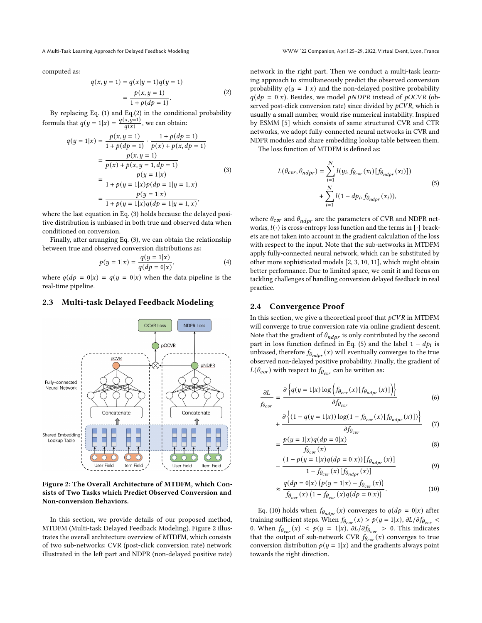A Multi-Task Learning Approach for Delayed Feedback Modeling WWW '22 Companion, April 25–29, 2022, Virtual Event, Lyon, France

computed as:

<span id="page-2-0"></span>
$$
q(x, y = 1) = q(x|y = 1)q(y = 1)
$$
  
= 
$$
\frac{p(x, y = 1)}{1 + p(dp = 1)}.
$$
 (2)

By replacing Eq. [\(1\)](#page-1-0) and Eq.[\(2\)](#page-2-0) in the conditional probability formula that  $q(y = 1|x) = \frac{q(x, y=1)}{q(x)}$ , we can obtain:

<span id="page-2-1"></span>
$$
q(y = 1|x) = \frac{p(x, y = 1)}{1 + p(dp = 1)} \cdot \frac{1 + p(dp = 1)}{p(x) + p(x, dp = 1)}
$$
  
= 
$$
\frac{p(x, y = 1)}{p(x) + p(x, y = 1, dp = 1)}
$$
  
= 
$$
\frac{p(y = 1|x)}{1 + p(y = 1|x)p(dp = 1|y = 1, x)}
$$
  
= 
$$
\frac{p(y = 1|x)}{1 + p(y = 1|x)q(dp = 1|y = 1, x)},
$$
 (3)

where the last equation in Eq. [\(3\)](#page-2-1) holds because the delayed positive distribution is unbiased in both true and observed data when conditioned on conversion.

Finally, after arranging Eq. [\(3\)](#page-2-1), we can obtain the relationship between true and observed conversion distributions as:

$$
p(y = 1|x) = \frac{q(y = 1|x)}{q(dp = 0|x)},
$$
\n(4)

where  $q(dp = 0|x) = q(y = 0|x)$  when the data pipeline is the real-time pipeline.

## 2.3 Multi-task Delayed Feedback Modeling

<span id="page-2-2"></span>

Figure 2: The Overall Architecture of MTDFM, which Consists of Two Tasks which Predict Observed Conversion and Non-conversion Behaviors.

In this section, we provide details of our proposed method, MTDFM (Multi-task Delayed Feedback Modeling). Figure [2](#page-2-2) illustrates the overall architecture overview of MTDFM, which consists of two sub-networks: CVR (post-click conversion rate) network illustrated in the left part and NDPR (non-delayed positive rate)

network in the right part. Then we conduct a multi-task learning approach to simultaneously predict the observed conversion probability  $q(y = 1|x)$  and the non-delayed positive probability  $q(dp = 0|x)$ . Besides, we model *pNDPR* instead of *pOCVR* (observed post-click conversion rate) since divided by  $pCVR$ , which is usually a small number, would rise numerical instability. Inspired by ESMM [\[5\]](#page-4-5) which consists of same structured CVR and CTR networks, we adopt fully-connected neural networks in CVR and NDPR modules and share embedding lookup table between them.

The loss function of MTDFM is defined as:

<span id="page-2-3"></span>
$$
L(\theta_{cov}, \theta_{ndpr}) = \sum_{i=1}^{N} l(y_i, f_{\theta_{cov}}(x_i) [f_{\theta_{ndpr}}(x_i)]) + \sum_{i=1}^{N} l(1 - dp_i, f_{\theta_{ndpr}}(x_i)),
$$
\n(5)

where  $\theta_{\text{cor}}$  and  $\theta_{\text{ndpr}}$  are the parameters of CVR and NDPR networks,  $l(\cdot)$  is cross-entropy loss function and the terms in [ $\cdot$ ] brackets are not taken into account in the gradient calculation of the loss with respect to the input. Note that the sub-networks in MTDFM apply fully-connected neural network, which can be substituted by other more sophisticated models [\[2,](#page-4-6) [3,](#page-4-7) [10,](#page-4-8) [11\]](#page-4-9), which might obtain better performance. Due to limited space, we omit it and focus on tackling challenges of handling conversion delayed feedback in real practice.

#### 2.4 Convergence Proof

=

In this section, we give a theoretical proof that  $pCVR$  in MTDFM will converge to true conversion rate via online gradient descent. Note that the gradient of  $\theta_{ndpr}$  is only contributed by the second part in loss function defined in Eq. [\(5\)](#page-2-3) and the label  $1 - dp_i$  is unbiased, therefore  $f_{\theta_{ndpr}}(x)$  will eventually converges to the true observed non-delayed positive probability. Finally, the gradient of  $L(\theta_{\text{cor}})$  with respect to  $f_{\theta_{\text{cor}}}$  can be written as:

$$
\frac{\partial L}{\partial \theta_{cor}} = \frac{\partial \left\{ q(y=1|x) \log \left( f_{\theta_{cor}}(x) [f_{\theta_{ndpr}}(x)] \right) \right\}}{\partial f_{\theta_{cor}}}
$$
(6)

$$
+\frac{\partial \left\{ (1-q(y=1|x)) \log(1-f_{\theta_{cor}}(x)[f_{\theta_{ndpr}}(x)]) \right\}}{\partial f_{\theta_{cor}}}\tag{7}
$$

$$
\frac{p(y=1|x)q(dp=0|x)}{f_{\theta_{cor}}(x)}\tag{8}
$$

$$
-\frac{(1-p(y=1|x)q(dp=0|x))[f_{\theta_{ndpr}}(x)]}{1-f_{\theta_{cor}}(x)[f_{\theta_{ndpr}}(x)]}
$$
(9)

<span id="page-2-4"></span>
$$
\approx \frac{q(dp = 0|x) (p(y = 1|x) - f_{\theta_{cur}}(x))}{f_{\theta_{cur}}(x) (1 - f_{\theta_{cur}}(x)q(dp = 0|x))}.
$$
\n(10)

Eq. [\(10\)](#page-2-4) holds when  $f_{\theta_{ndpr}}(x)$  converges to  $q(dp = 0|x)$  after training sufficient steps. When  $f_{\theta_{cur}}(x) > p(y=1|x)$ ,  $\partial L/\partial f_{\theta_{cur}}$ 0. When  $f_{\theta_{\text{cor}}} (x) < p(y = 1|x)$ ,  $\partial L / \partial f_{\theta_{\text{cor}}} > 0$ . This indicates that the output of sub-network CVR  $f_{\theta_{cor}}(x)$  converges to true conversion distribution  $p(y = 1|x)$  and the gradients always point towards the right direction.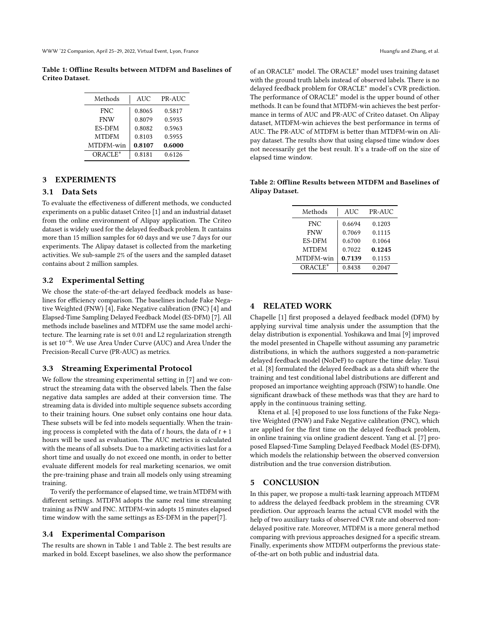<span id="page-3-0"></span>Table 1: Offline Results between MTDFM and Baselines of Criteo Dataset.

| Methods       | <b>AUC</b> | PR-AUC |
|---------------|------------|--------|
| <b>FNC</b>    | 0.8065     | 0.5817 |
| <b>FNW</b>    | 0.8079     | 0.5935 |
| <b>ES-DFM</b> | 0.8082     | 0.5963 |
| <b>MTDFM</b>  | 0.8103     | 0.5955 |
| MTDFM-win     | 0.8107     | 0.6000 |
| ORACLE*       | 0.8181     | 0.6126 |

## 3 EXPERIMENTS

#### 3.1 Data Sets

To evaluate the effectiveness of different methods, we conducted experiments on a public dataset Criteo [\[1\]](#page-4-10) and an industrial dataset from the online environment of Alipay application. The Criteo dataset is widely used for the delayed feedback problem. It cantains more than 15 million samples for 60 days and we use 7 days for our experiments. The Alipay dataset is collected from the marketing activities. We sub-sample 2% of the users and the sampled dataset contains about 2 million samples.

## 3.2 Experimental Setting

We chose the state-of-the-art delayed feedback models as baselines for efficiency comparison. The baselines include Fake Negative Weighted (FNW) [\[4\]](#page-4-1), Fake Negative calibration (FNC) [\[4\]](#page-4-1) and Elapsed-Time Sampling Delayed Feedback Model (ES-DFM) [\[7\]](#page-4-3). All methods include baselines and MTDFM use the same model architecture. The learning rate is set 0.01 and L2 regularization strength is set 10−<sup>6</sup> . We use Area Under Curve (AUC) and Area Under the Precision-Recall Curve (PR-AUC) as metrics.

#### 3.3 Streaming Experimental Protocol

We follow the streaming experimental setting in [\[7\]](#page-4-3) and we construct the streaming data with the observed labels. Then the false negative data samples are added at their conversion time. The streaming data is divided into multiple sequence subsets according to their training hours. One subset only contains one hour data. These subsets will be fed into models sequentially. When the training process is completed with the data of  $t$  hours, the data of  $t + 1$ hours will be used as evaluation. The AUC metrics is calculated with the means of all subsets. Due to a marketing activities last for a short time and usually do not exceed one month, in order to better evaluate different models for real marketing scenarios, we omit the pre-training phase and train all models only using streaming training.

To verify the performance of elapsed time, we train MTDFM with different settings. MTDFM adopts the same real time streaming training as FNW and FNC. MTDFM-win adopts 15 minutes elapsed time window with the same settings as ES-DFM in the paper[\[7\]](#page-4-3).

#### 3.4 Experimental Comparison

The results are shown in Table [1](#page-3-0) and Table [2.](#page-3-1) The best results are marked in bold. Except baselines, we also show the performance of an ORACLE<sup>∗</sup> model. The ORACLE<sup>∗</sup> model uses training dataset with the ground truth labels instead of observed labels. There is no delayed feedback problem for ORACLE<sup>∗</sup> model's CVR prediction. The performance of ORACLE<sup>∗</sup> model is the upper bound of other methods. It can be found that MTDFM-win achieves the best performance in terms of AUC and PR-AUC of Criteo dataset. On Alipay dataset, MTDFM-win achieves the best performance in terms of AUC. The PR-AUC of MTDFM is better than MTDFM-win on Alipay dataset. The results show that using elapsed time window does not necessarily get the best result. It's a trade-off on the size of elapsed time window.

<span id="page-3-1"></span>Table 2: Offline Results between MTDFM and Baselines of Alipay Dataset.

| Methods       | <b>AUC</b> | PR-AUC |
|---------------|------------|--------|
| <b>FNC</b>    | 0.6694     | 0.1203 |
| <b>FNW</b>    | 0.7069     | 0.1115 |
| <b>ES-DFM</b> | 0.6700     | 0.1064 |
| <b>MTDFM</b>  | 0.7022     | 0.1245 |
| MTDFM-win     | 0.7139     | 0.1153 |
| ORACLE*       | 0.8438     | 0.2047 |

## 4 RELATED WORK

Chapelle [\[1\]](#page-4-10) first proposed a delayed feedback model (DFM) by applying survival time analysis under the assumption that the delay distribution is exponential. Yoshikawa and Imai [\[9\]](#page-4-11) improved the model presented in Chapelle without assuming any parametric distributions, in which the authors suggested a non-parametric delayed feedback model (NoDeF) to capture the time delay. Yasui et al. [\[8\]](#page-4-4) formulated the delayed feedback as a data shift where the training and test conditional label distributions are different and proposed an importance weighting approach (FSIW) to handle. One significant drawback of these methods was that they are hard to apply in the continuous training setting.

Ktena et al. [\[4\]](#page-4-1) proposed to use loss functions of the Fake Negative Weighted (FNW) and Fake Negative calibration (FNC), which are applied for the first time on the delayed feedback problem, in online training via online gradient descent. Yang et al. [\[7\]](#page-4-3) proposed Elapsed-Time Sampling Delayed Feedback Model (ES-DFM), which models the relationship between the observed conversion distribution and the true conversion distribution.

#### 5 CONCLUSION

In this paper, we propose a multi-task learning approach MTDFM to address the delayed feedback problem in the streaming CVR prediction. Our approach learns the actual CVR model with the help of two auxiliary tasks of observed CVR rate and observed nondelayed positive rate. Moreover, MTDFM is a more general method comparing with previous approaches designed for a specific stream. Finally, experiments show MTDFM outperforms the previous stateof-the-art on both public and industrial data.